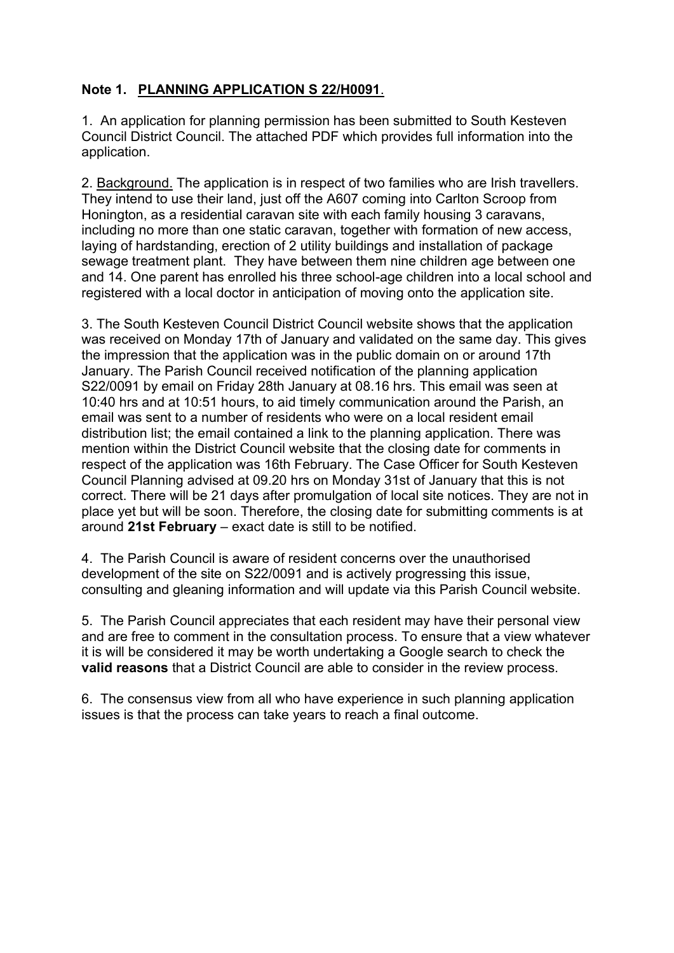# **Note 1. PLANNING APPLICATION S 22/H0091**.

1. An application for planning permission has been submitted to South Kesteven Council District Council. The attached PDF which provides full information into the application.

2. Background. The application is in respect of two families who are Irish travellers. They intend to use their land, just off the A607 coming into Carlton Scroop from Honington, as a residential caravan site with each family housing 3 caravans, including no more than one static caravan, together with formation of new access, laying of hardstanding, erection of 2 utility buildings and installation of package sewage treatment plant. They have between them nine children age between one and 14. One parent has enrolled his three school-age children into a local school and registered with a local doctor in anticipation of moving onto the application site.

3. The South Kesteven Council District Council website shows that the application was received on Monday 17th of January and validated on the same day. This gives the impression that the application was in the public domain on or around 17th January. The Parish Council received notification of the planning application S22/0091 by email on Friday 28th January at 08.16 hrs. This email was seen at 10:40 hrs and at 10:51 hours, to aid timely communication around the Parish, an email was sent to a number of residents who were on a local resident email distribution list; the email contained a link to the planning application. There was mention within the District Council website that the closing date for comments in respect of the application was 16th February. The Case Officer for South Kesteven Council Planning advised at 09.20 hrs on Monday 31st of January that this is not correct. There will be 21 days after promulgation of local site notices. They are not in place yet but will be soon. Therefore, the closing date for submitting comments is at around **21st February** – exact date is still to be notified.

4. The Parish Council is aware of resident concerns over the unauthorised development of the site on S22/0091 and is actively progressing this issue, consulting and gleaning information and will update via this Parish Council website.

5. The Parish Council appreciates that each resident may have their personal view and are free to comment in the consultation process. To ensure that a view whatever it is will be considered it may be worth undertaking a Google search to check the **valid reasons** that a District Council are able to consider in the review process.

6. The consensus view from all who have experience in such planning application issues is that the process can take years to reach a final outcome.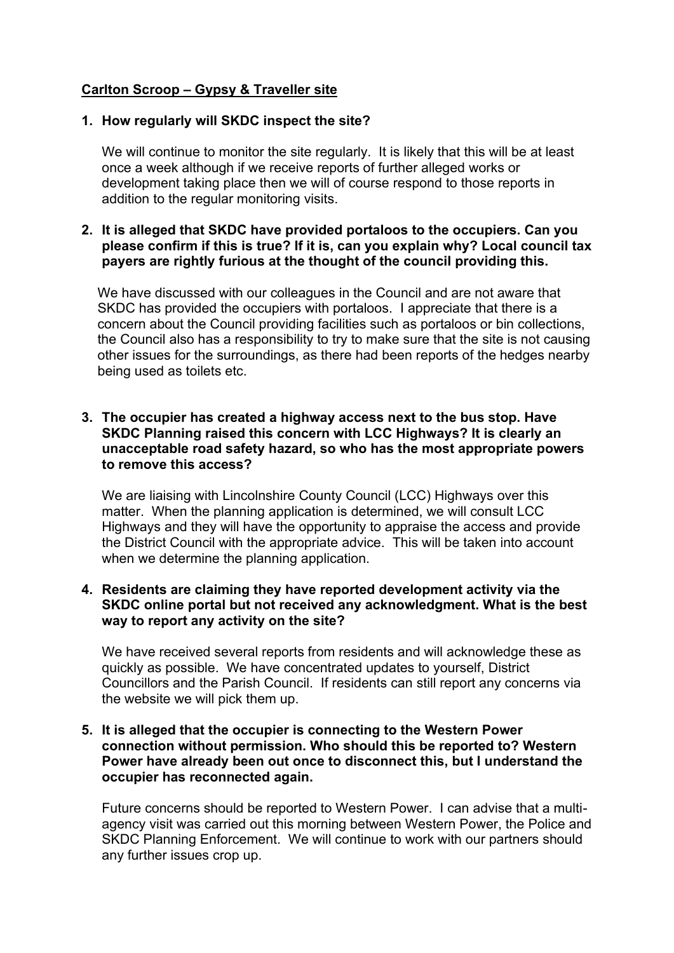# **Carlton Scroop – Gypsy & Traveller site**

#### **1. How regularly will SKDC inspect the site?**

We will continue to monitor the site regularly. It is likely that this will be at least once a week although if we receive reports of further alleged works or development taking place then we will of course respond to those reports in addition to the regular monitoring visits.

# **2. It is alleged that SKDC have provided portaloos to the occupiers. Can you please confirm if this is true? If it is, can you explain why? Local council tax payers are rightly furious at the thought of the council providing this.**

We have discussed with our colleagues in the Council and are not aware that SKDC has provided the occupiers with portaloos. I appreciate that there is a concern about the Council providing facilities such as portaloos or bin collections, the Council also has a responsibility to try to make sure that the site is not causing other issues for the surroundings, as there had been reports of the hedges nearby being used as toilets etc.

#### **3. The occupier has created a highway access next to the bus stop. Have SKDC Planning raised this concern with LCC Highways? It is clearly an unacceptable road safety hazard, so who has the most appropriate powers to remove this access?**

We are liaising with Lincolnshire County Council (LCC) Highways over this matter. When the planning application is determined, we will consult LCC Highways and they will have the opportunity to appraise the access and provide the District Council with the appropriate advice. This will be taken into account when we determine the planning application.

# **4. Residents are claiming they have reported development activity via the SKDC online portal but not received any acknowledgment. What is the best way to report any activity on the site?**

We have received several reports from residents and will acknowledge these as quickly as possible. We have concentrated updates to yourself, District Councillors and the Parish Council. If residents can still report any concerns via the website we will pick them up.

#### **5. It is alleged that the occupier is connecting to the Western Power connection without permission. Who should this be reported to? Western Power have already been out once to disconnect this, but I understand the occupier has reconnected again.**

Future concerns should be reported to Western Power. I can advise that a multiagency visit was carried out this morning between Western Power, the Police and SKDC Planning Enforcement. We will continue to work with our partners should any further issues crop up.